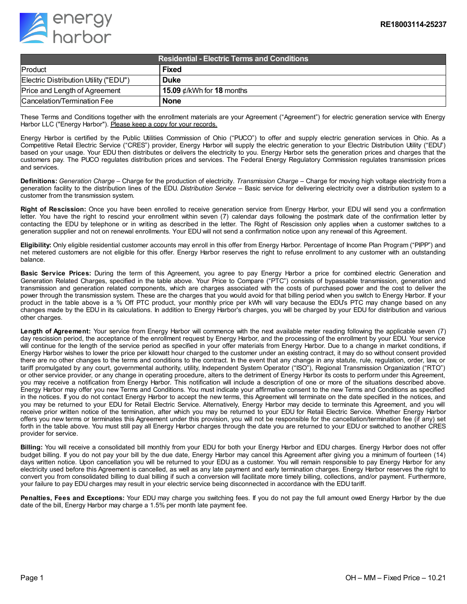

| <b>Residential - Electric Terms and Conditions</b> |                                 |
|----------------------------------------------------|---------------------------------|
| Product                                            | <b>Fixed</b>                    |
| Electric Distribution Utility ("EDU")              | <b>Duke</b>                     |
| Price and Length of Agreement                      | 15.09 $\ell$ /kWh for 18 months |
| Cancelation/Termination Fee                        | <b>None</b>                     |

These Terms and Conditions together with the enrollment materials are your Agreement ("Agreement") for electric generation service with Energy Harbor LLC ("Energy Harbor"). Please keep a copy for your records.

Energy Harbor is certified by the Public Utilities Commission of Ohio ("PUCO") to offer and supply electric generation services in Ohio. As a Competitive Retail Electric Service ("CRES") provider, Energy Harbor will supply the electric generation to your Electric Distribution Utility ("EDU") based on your usage. Your EDU then distributes or delivers the electricity to you. Energy Harbor sets the generation prices and charges that the customers pay. The PUCO regulates distribution prices and services. The Federal Energy Regulatory Commission regulates transmission prices and services.

**Definitions:** *Generation Charge* – Charge for the production of electricity. *Transmission Charge* – Charge for moving high voltage electricity from a generation facility to the distribution lines of the EDU. *Distribution Service* – Basic service for delivering electricity over a distribution system to a customer from the transmission system.

**Right of Rescission:** Once you have been enrolled to receive generation service from Energy Harbor, your EDU will send you a confirmation letter. You have the right to rescind your enrollment within seven (7) calendar days following the postmark date of the confirmation letter by contacting the EDU by telephone or in writing as described in the letter. The Right of Rescission only applies when a customer switches to a generation supplier and not on renewal enrollments. Your EDU will not send a confirmation notice upon any renewal of this Agreement.

**Eligibility:** Only eligible residential customer accounts may enroll in this offer from Energy Harbor. Percentage of Income Plan Program ("PIPP") and net metered customers are not eligible for this offer. Energy Harbor reserves the right to refuse enrollment to any customer with an outstanding balance.

**Basic Service Prices:** During the term of this Agreement, you agree to pay Energy Harbor a price for combined electric Generation and Generation Related Charges, specified in the table above. Your Price to Compare ("PTC") consists of bypassable transmission, generation and transmission and generation related components, which are charges associated with the costs of purchased power and the cost to deliver the power through the transmission system. These are the charges that you would avoid for that billing period when you switch to Energy Harbor. If your product in the table above is a % Off PTC product, your monthly price per kWh will vary because the EDU's PTC may change based on any changes made by the EDU in its calculations. In addition to Energy Harbor's charges, you will be charged by your EDU for distribution and various other charges.

**Length of Agreement:** Your service from Energy Harbor will commence with the next available meter reading following the applicable seven (7) day rescission period, the acceptance of the enrollment request by Energy Harbor, and the processing of the enrollment by your EDU. Your service will continue for the length of the service period as specified in your offer materials from Energy Harbor. Due to a change in market conditions, if Energy Harbor wishes to lower the price per kilowatt hour charged to the customer under an existing contract, it may do so without consent provided there are no other changes to the terms and conditions to the contract. In the event that any change in any statute, rule, regulation, order, law, or tariff promulgated by any court, governmental authority, utility, Independent System Operator ("ISO"), Regional Transmission Organization ("RTO") or other service provider, or any change in operating procedure, alters to the detriment of Energy Harbor its costs to perform under this Agreement, you may receive a notification from Energy Harbor. This notification will include a description of one or more of the situations described above. Energy Harbor may offer you new Terms and Conditions. You must indicate your affirmative consent to the new Terms and Conditions as specified in the notices. If you do not contact Energy Harbor to accept the new terms, this Agreement will terminate on the date specified in the notices, and you may be returned to your EDU for Retail Electric Service. Alternatively, Energy Harbor may decide to terminate this Agreement, and you will receive prior written notice of the termination, after which you may be returned to your EDU for Retail Electric Service. Whether Energy Harbor offers you new terms or terminates this Agreement under this provision, you will not be responsible for the cancellation/termination fee (if any) set forth in the table above. You must still pay all Energy Harbor charges through the date you are returned to your EDU or switched to another CRES provider for service.

**Billing:** You will receive a consolidated bill monthly from your EDU for both your Energy Harbor and EDU charges. Energy Harbor does not offer budget billing. If you do not pay your bill by the due date, Energy Harbor may cancel this Agreement after giving you a minimum of fourteen (14) days written notice. Upon cancellation you will be returned to your EDU as a customer. You will remain responsible to pay Energy Harbor for any electricity used before this Agreement is cancelled, as well as any late payment and early termination charges. Energy Harbor reserves the right to convert you from consolidated billing to dual billing if such a conversion will facilitate more timely billing, collections, and/or payment. Furthermore, your failure to pay EDU charges may result in your electric service being disconnected in accordance with the EDU tariff.

**Penalties, Fees and Exceptions:** Your EDU may charge you switching fees. If you do not pay the full amount owed Energy Harbor by the due date of the bill, Energy Harbor may charge a 1.5% per month late payment fee.